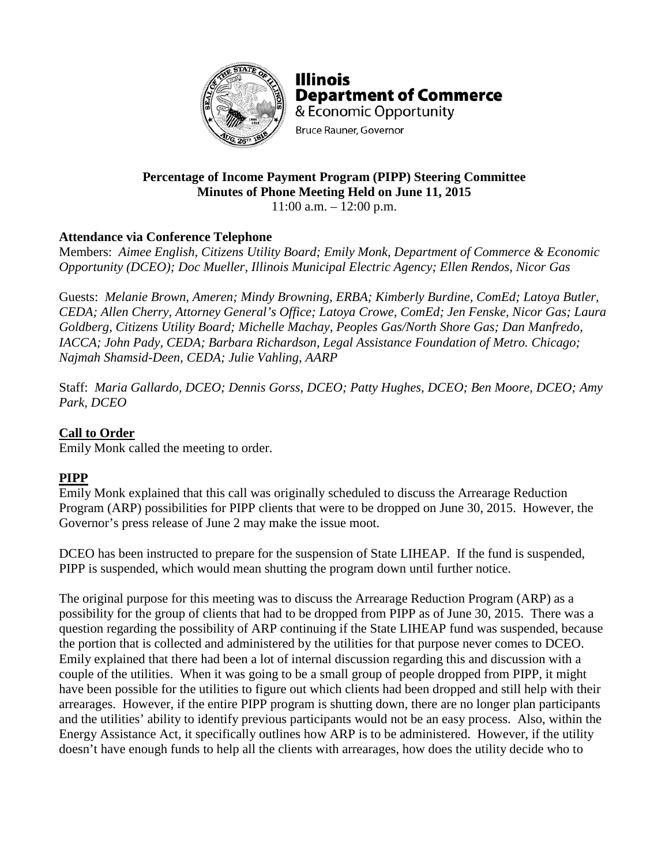

**Illinois Department of Commerce** & Economic Opportunity **Bruce Rauner, Governor** 

# **Percentage of Income Payment Program (PIPP) Steering Committee Minutes of Phone Meeting Held on June 11, 2015**

 $11:00$  a.m.  $-12:00$  p.m.

# **Attendance via Conference Telephone**

Members: *Aimee English, Citizens Utility Board; Emily Monk, Department of Commerce & Economic Opportunity (DCEO); Doc Mueller, Illinois Municipal Electric Agency; Ellen Rendos, Nicor Gas*

Guests: *Melanie Brown, Ameren; Mindy Browning, ERBA; Kimberly Burdine, ComEd; Latoya Butler, CEDA; Allen Cherry, Attorney General's Office; Latoya Crowe, ComEd; Jen Fenske, Nicor Gas; Laura Goldberg, Citizens Utility Board; Michelle Machay, Peoples Gas/North Shore Gas; Dan Manfredo, IACCA; John Pady, CEDA; Barbara Richardson, Legal Assistance Foundation of Metro. Chicago; Najmah Shamsid-Deen, CEDA; Julie Vahling, AARP*

Staff: *Maria Gallardo, DCEO; Dennis Gorss, DCEO; Patty Hughes, DCEO; Ben Moore, DCEO; Amy Park, DCEO*

### **Call to Order**

Emily Monk called the meeting to order.

# **PIPP**

Emily Monk explained that this call was originally scheduled to discuss the Arrearage Reduction Program (ARP) possibilities for PIPP clients that were to be dropped on June 30, 2015. However, the Governor's press release of June 2 may make the issue moot.

DCEO has been instructed to prepare for the suspension of State LIHEAP. If the fund is suspended, PIPP is suspended, which would mean shutting the program down until further notice.

The original purpose for this meeting was to discuss the Arrearage Reduction Program (ARP) as a possibility for the group of clients that had to be dropped from PIPP as of June 30, 2015. There was a question regarding the possibility of ARP continuing if the State LIHEAP fund was suspended, because the portion that is collected and administered by the utilities for that purpose never comes to DCEO. Emily explained that there had been a lot of internal discussion regarding this and discussion with a couple of the utilities. When it was going to be a small group of people dropped from PIPP, it might have been possible for the utilities to figure out which clients had been dropped and still help with their arrearages. However, if the entire PIPP program is shutting down, there are no longer plan participants and the utilities' ability to identify previous participants would not be an easy process. Also, within the Energy Assistance Act, it specifically outlines how ARP is to be administered. However, if the utility doesn't have enough funds to help all the clients with arrearages, how does the utility decide who to